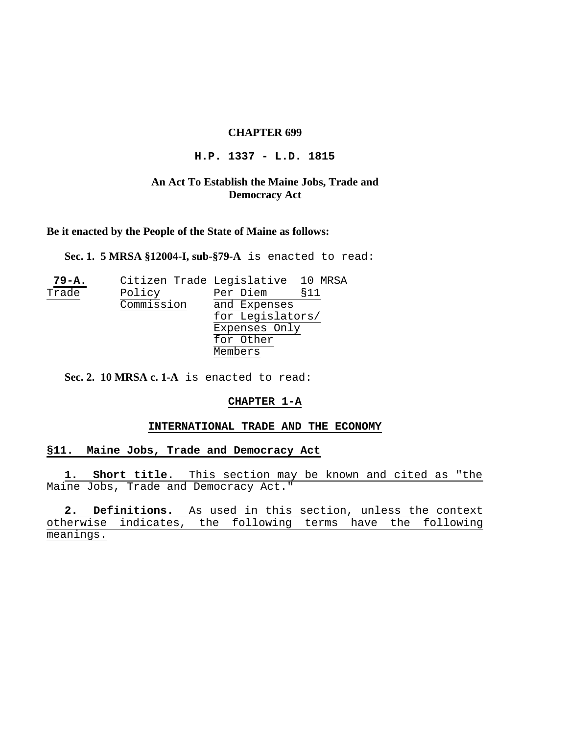## **CHAPTER 699**

#### **H.P. 1337 - L.D. 1815**

# **An Act To Establish the Maine Jobs, Trade and Democracy Act**

**Be it enacted by the People of the State of Maine as follows:**

**Sec. 1. 5 MRSA §12004-I, sub-§79-A** is enacted to read:

| $79 - A.$ | Citizen Trade Legislative |                  | 10 MRSA |
|-----------|---------------------------|------------------|---------|
| Trade     | Policy                    | Per Diem         | §11     |
|           | Commission                | and Expenses     |         |
|           |                           | for Legislators/ |         |
|           |                           | Expenses Only    |         |
|           |                           | for Other        |         |
|           |                           | Members          |         |

**Sec. 2. 10 MRSA c. 1-A** is enacted to read:

## **CHAPTER 1-A**

#### **INTERNATIONAL TRADE AND THE ECONOMY**

#### **§11. Maine Jobs, Trade and Democracy Act**

**1. Short title.** This section may be known and cited as "the Maine Jobs, Trade and Democracy Act."

2. Definitions. As used in this section, unless the context erwise indicates, the following otherwise indicates, the following terms have the meanings.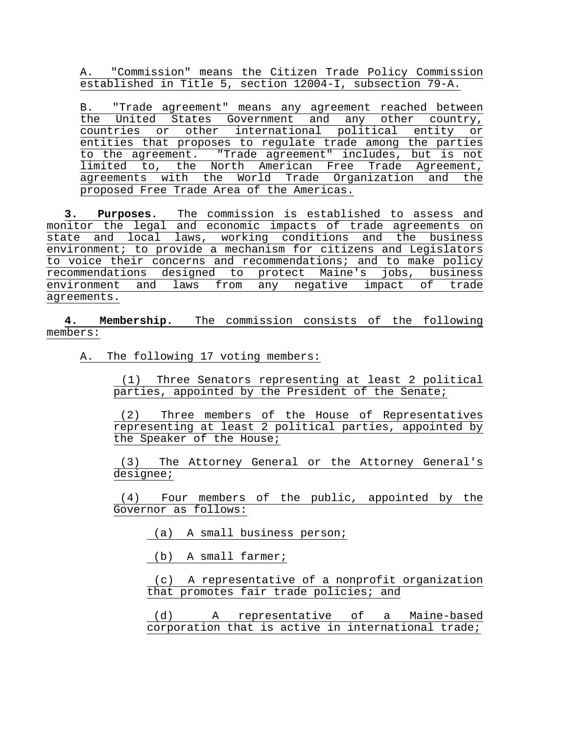A. "Commission" means the Citizen Trade Policy Commission established in Title 5, section 12004-I, subsection 79-A.

B. "Trade agreement" means any agreement reached between the United States Government and any other country, countries or other international political entity or entities that proposes to regulate trade among the parties to the agreement. "Trade agreement" includes, but is not limited to, the North American Free Trade Agreement, agreements with the World Trade Organization and the proposed Free Trade Area of the Americas.

**3. Purposes.** The commission is established to assess and monitor the legal and economic impacts of trade agreements on state and local laws, working conditions and the business environment; to provide a mechanism for citizens and Legislators to voice their concerns and recommendations; and to make policy recommendations designed to protect Maine's jobs, business environment and laws from any negative impact of trade agreements.

**4. Membership.** The commission consists of the following members:

A. The following 17 voting members:

 (1) Three Senators representing at least 2 political parties, appointed by the President of the Senate;

 (2) Three members of the House of Representatives representing at least 2 political parties, appointed by the Speaker of the House;

 (3) The Attorney General or the Attorney General's designee;

 (4) Four members of the public, appointed by the Governor as follows:

(a) A small business person;

(b) A small farmer;

 (c) A representative of a nonprofit organization that promotes fair trade policies; and

 (d) A representative of a Maine-based corporation that is active in international trade;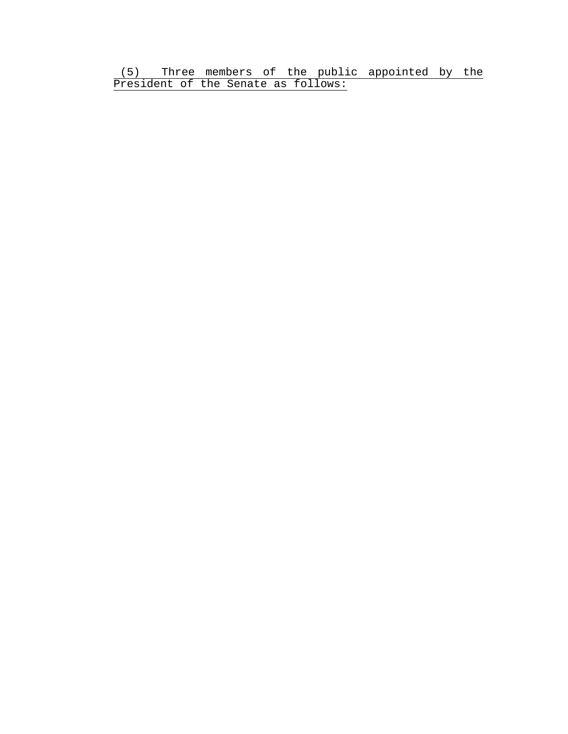(5) Three members of the public appointed by the President of the Senate as follows: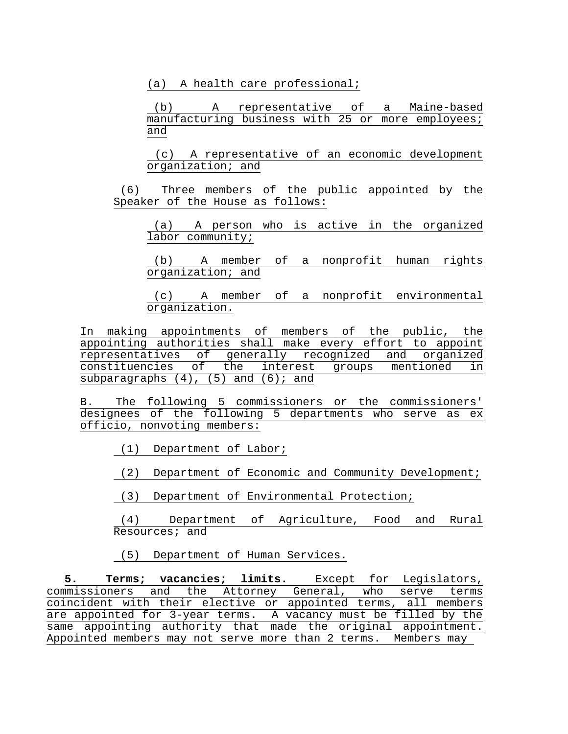(a) A health care professional;

 (b) A representative of a Maine-based manufacturing business with 25 or more employees; and

 (c) A representative of an economic development organization; and

 (6) Three members of the public appointed by the Speaker of the House as follows:

 (a) A person who is active in the organized labor community;

 (b) A member of a nonprofit human rights organization; and

 (c) A member of a nonprofit environmental organization.

In making appointments of members of the public, the appointing authorities shall make every effort to appoint representatives of generally recognized and organized constituencies of the interest groups mentioned in subparagraphs  $(4)$ ,  $(5)$  and  $(6)$ ; and

B. The following 5 commissioners or the commissioners' designees of the following 5 departments who serve as ex officio, nonvoting members:

(1) Department of Labor;

(2) Department of Economic and Community Development;

(3) Department of Environmental Protection;

 (4) Department of Agriculture, Food and Rural Resources; and

(5) Department of Human Services.

**5. Terms; vacancies; limits.** Except for Legislators, commissioners and the Attorney General, who serve terms coincident with their elective or appointed terms, all members are appointed for 3-year terms. A vacancy must be filled by the same appointing authority that made the original appointment. Appointed members may not serve more than 2 terms. Members may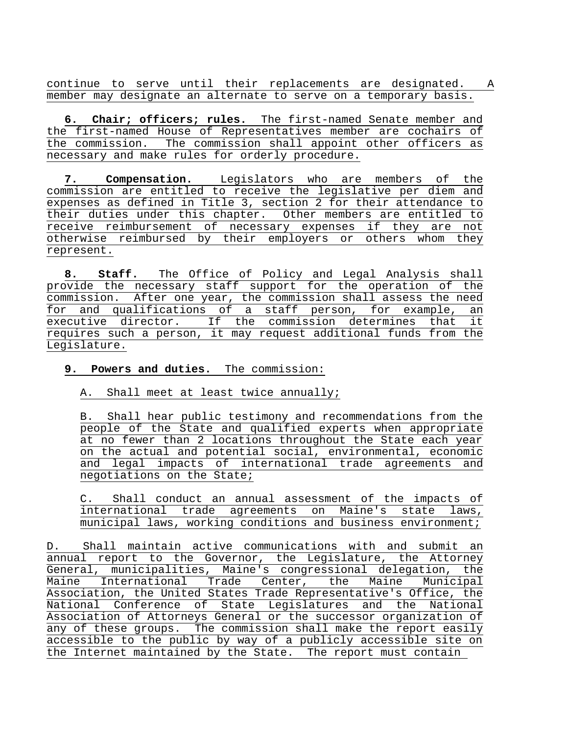continue to serve until their replacements are designated. A member may designate an alternate to serve on a temporary basis.

**6. Chair; officers; rules.** The first-named Senate member and the first-named House of Representatives member are cochairs of the commission. The commission shall appoint other officers as necessary and make rules for orderly procedure.

**7. Compensation.** Legislators who are members of the commission are entitled to receive the legislative per diem and expenses as defined in Title 3, section 2 for their attendance to their duties under this chapter. Other members are entitled to receive reimbursement of necessary expenses if they are not otherwise reimbursed by their employers or others whom they represent.

**8. Staff.** The Office of Policy and Legal Analysis shall provide the necessary staff support for the operation of the commission. After one year, the commission shall assess the need for and qualifications of a staff person, for example, an executive director. If the commission determines that it requires such a person, it may request additional funds from the Legislature.

# **9. Powers and duties.** The commission:

A. Shall meet at least twice annually;

B. Shall hear public testimony and recommendations from the people of the State and qualified experts when appropriate at no fewer than 2 locations throughout the State each year on the actual and potential social, environmental, economic and legal impacts of international trade agreements and negotiations on the State;

C. Shall conduct an annual assessment of the impacts of international trade agreements on Maine's state laws, municipal laws, working conditions and business environment;

D. Shall maintain active communications with and submit an annual report to the Governor, the Legislature, the Attorney General, municipalities, Maine's congressional delegation, the Maine International Trade Center, the Maine Municipal Association, the United States Trade Representative's Office, the National Conference of State Legislatures and the National Association of Attorneys General or the successor organization of any of these groups. The commission shall make the report easily accessible to the public by way of a publicly accessible site on the Internet maintained by the State. The report must contain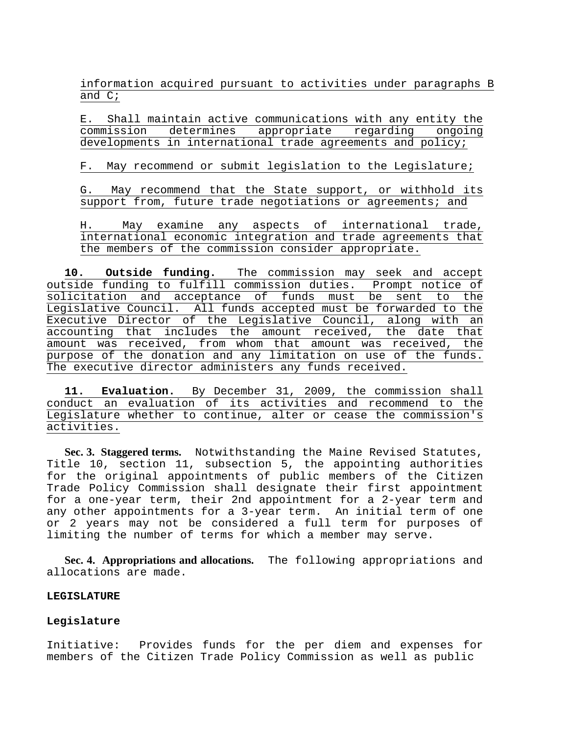information acquired pursuant to activities under paragraphs B and C;

E. Shall maintain active communications with any entity the commission determines appropriate regarding ongoing developments in international trade agreements and policy;

F. May recommend or submit legislation to the Legislature;

G. May recommend that the State support, or withhold its support from, future trade negotiations or agreements; and

H. May examine any aspects of international trade, international economic integration and trade agreements that the members of the commission consider appropriate.

**10. Outside funding.** The commission may seek and accept outside funding to fulfill commission duties. Prompt notice of solicitation and acceptance of funds must be sent to the Legislative Council. All funds accepted must be forwarded to the Executive Director of the Legislative Council, along with an accounting that includes the amount received, the date that amount was received, from whom that amount was received, the purpose of the donation and any limitation on use of the funds. The executive director administers any funds received.

**11. Evaluation.** By December 31, 2009, the commission shall conduct an evaluation of its activities and recommend to the Legislature whether to continue, alter or cease the commission's activities.

**Sec. 3. Staggered terms.** Notwithstanding the Maine Revised Statutes, Title 10, section 11, subsection 5, the appointing authorities for the original appointments of public members of the Citizen Trade Policy Commission shall designate their first appointment for a one-year term, their 2nd appointment for a 2-year term and any other appointments for a 3-year term. An initial term of one or 2 years may not be considered a full term for purposes of limiting the number of terms for which a member may serve.

**Sec. 4. Appropriations and allocations.** The following appropriations and allocations are made.

#### **LEGISLATURE**

#### **Legislature**

Initiative: Provides funds for the per diem and expenses for members of the Citizen Trade Policy Commission as well as public